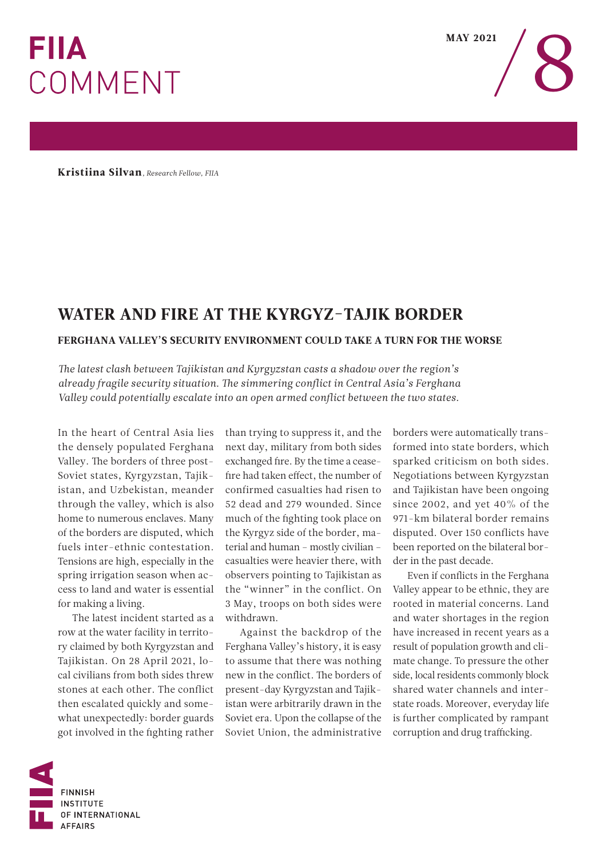## **FIIA COMMENT**

 $\frac{MAY\ 2021}{\sqrt{2}}$ 

Kristiina Silvan*, Research Fellow, FIIA* 

## WATER AND FIRE AT THE KYRGYZ-TAJIK BORDER

## FERGHANA VALLEY'S SECURITY ENVIRONMENT COULD TAKE A TURN FOR THE WORSE

*Te latest clash between Tajikistan and Kyrgyzstan casts a shadow over the region's already fragile security situation. Te simmering confict in Central Asia's Ferghana Valley could potentially escalate into an open armed confict between the two states.* 

In the heart of Central Asia lies the densely populated Ferghana Valley. The borders of three post-Soviet states, Kyrgyzstan, Tajikistan, and Uzbekistan, meander through the valley, which is also home to numerous enclaves. Many of the borders are disputed, which fuels inter-ethnic contestation. Tensions are high, especially in the spring irrigation season when access to land and water is essential for making a living.

The latest incident started as a row at the water facility in territory claimed by both Kyrgyzstan and Tajikistan. On 28 April 2021, local civilians from both sides threw stones at each other. The conflict then escalated quickly and somewhat unexpectedly: border guards got involved in the fghting rather

than trying to suppress it, and the next day, military from both sides exchanged fre. By the time a ceasefre had taken efect, the number of confirmed casualties had risen to 52 dead and 279 wounded. Since much of the fghting took place on the Kyrgyz side of the border, material and human – mostly civilian – casualties were heavier there, with observers pointing to Tajikistan as the "winner" in the conflict. On 3 May, troops on both sides were withdrawn.

Against the backdrop of the Ferghana Valley's history, it is easy to assume that there was nothing new in the conflict. The borders of present-day Kyrgyzstan and Tajikistan were arbitrarily drawn in the Soviet era. Upon the collapse of the Soviet Union, the administrative

borders were automatically transformed into state borders, which sparked criticism on both sides. Negotiations between Kyrgyzstan and Tajikistan have been ongoing since 2002, and yet 40% of the 971-km bilateral border remains disputed. Over 150 conflicts have been reported on the bilateral border in the past decade.

Even if conficts in the Ferghana Valley appear to be ethnic, they are rooted in material concerns. Land and water shortages in the region have increased in recent years as a result of population growth and climate change. To pressure the other side, local residents commonly block shared water channels and interstate roads. Moreover, everyday life is further complicated by rampant corruption and drug trafficking.